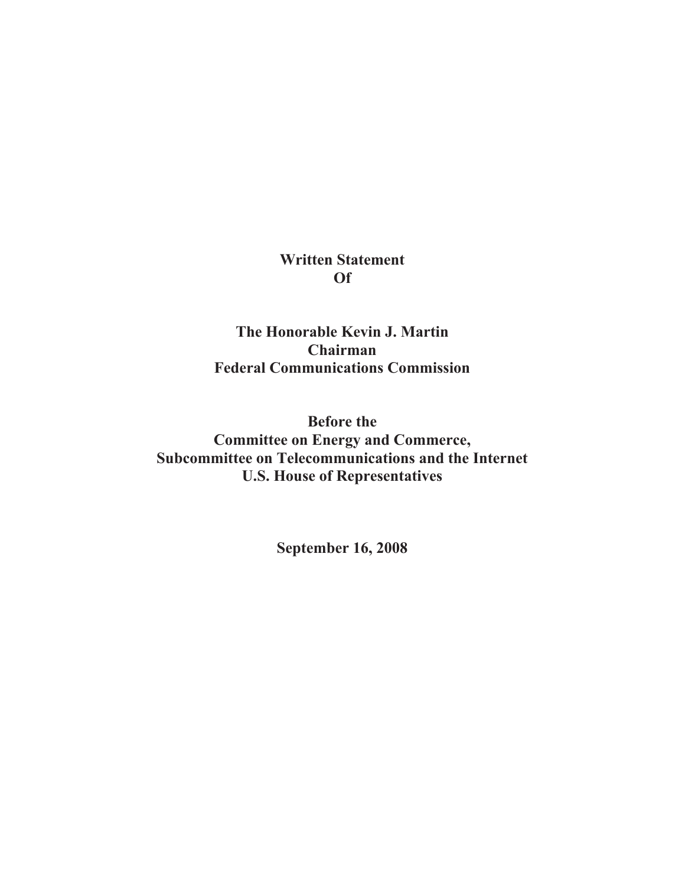## **Written Statement Of**

**The Honorable Kevin J. Martin Chairman Federal Communications Commission**

**Before the Committee on Energy and Commerce, Subcommittee on Telecommunications and the Internet U.S. House of Representatives**

**September 16, 2008**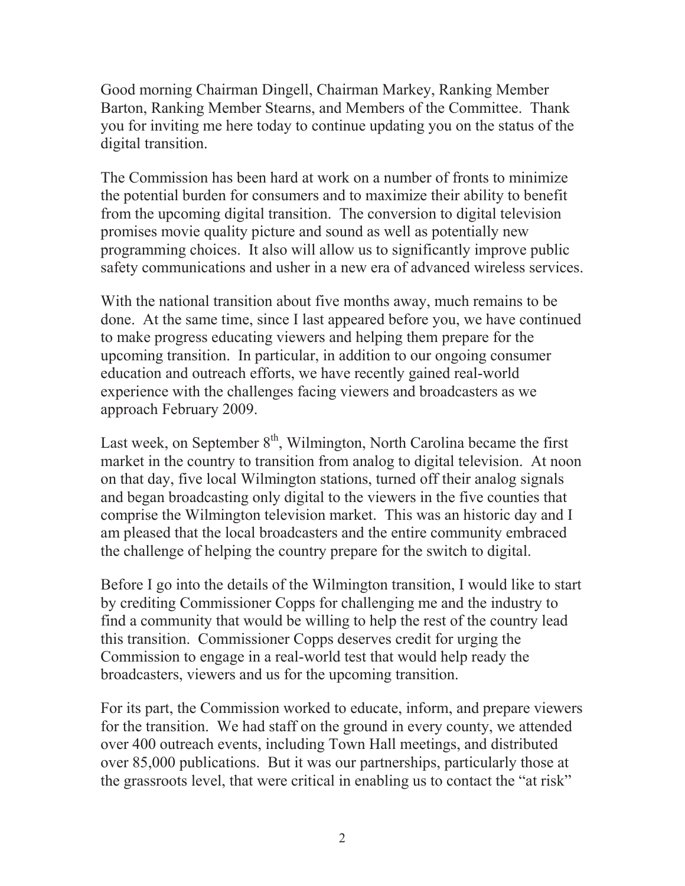Good morning Chairman Dingell, Chairman Markey, Ranking Member Barton, Ranking Member Stearns, and Members of the Committee. Thank you for inviting me here today to continue updating you on the status of the digital transition.

The Commission has been hard at work on a number of fronts to minimize the potential burden for consumers and to maximize their ability to benefit from the upcoming digital transition. The conversion to digital television promises movie quality picture and sound as well as potentially new programming choices. It also will allow us to significantly improve public safety communications and usher in a new era of advanced wireless services.

With the national transition about five months away, much remains to be done. At the same time, since I last appeared before you, we have continued to make progress educating viewers and helping them prepare for the upcoming transition. In particular, in addition to our ongoing consumer education and outreach efforts, we have recently gained real-world experience with the challenges facing viewers and broadcasters as we approach February 2009.

Last week, on September  $8<sup>th</sup>$ , Wilmington, North Carolina became the first market in the country to transition from analog to digital television. At noon on that day, five local Wilmington stations, turned off their analog signals and began broadcasting only digital to the viewers in the five counties that comprise the Wilmington television market. This was an historic day and I am pleased that the local broadcasters and the entire community embraced the challenge of helping the country prepare for the switch to digital.

Before I go into the details of the Wilmington transition, I would like to start by crediting Commissioner Copps for challenging me and the industry to find a community that would be willing to help the rest of the country lead this transition. Commissioner Copps deserves credit for urging the Commission to engage in a real-world test that would help ready the broadcasters, viewers and us for the upcoming transition.

For its part, the Commission worked to educate, inform, and prepare viewers for the transition. We had staff on the ground in every county, we attended over 400 outreach events, including Town Hall meetings, and distributed over 85,000 publications. But it was our partnerships, particularly those at the grassroots level, that were critical in enabling us to contact the "at risk"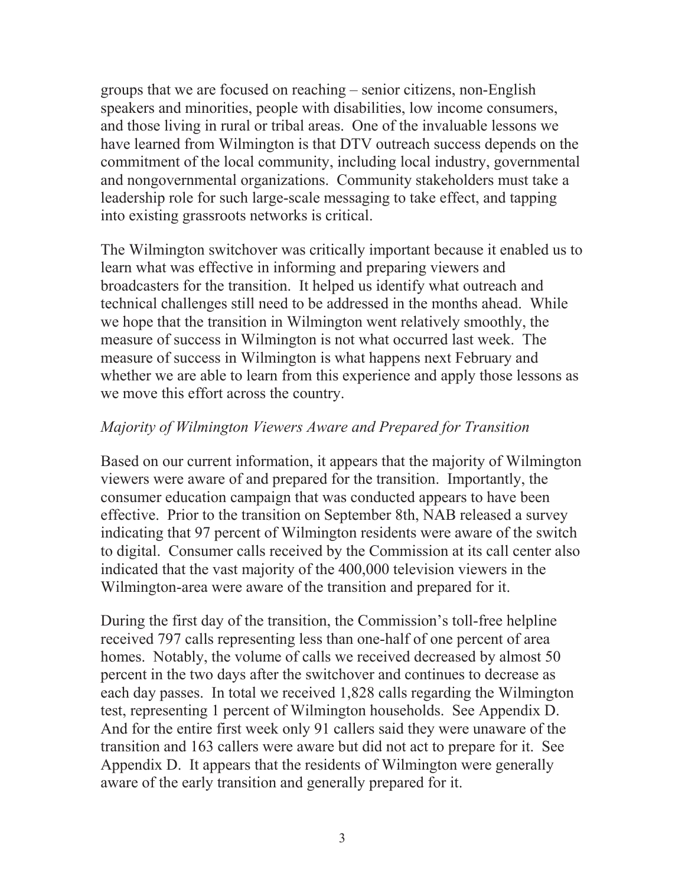groups that we are focused on reaching – senior citizens, non-English speakers and minorities, people with disabilities, low income consumers, and those living in rural or tribal areas. One of the invaluable lessons we have learned from Wilmington is that DTV outreach success depends on the commitment of the local community, including local industry, governmental and nongovernmental organizations. Community stakeholders must take a leadership role for such large-scale messaging to take effect, and tapping into existing grassroots networks is critical.

The Wilmington switchover was critically important because it enabled us to learn what was effective in informing and preparing viewers and broadcasters for the transition. It helped us identify what outreach and technical challenges still need to be addressed in the months ahead. While we hope that the transition in Wilmington went relatively smoothly, the measure of success in Wilmington is not what occurred last week. The measure of success in Wilmington is what happens next February and whether we are able to learn from this experience and apply those lessons as we move this effort across the country.

## *Majority of Wilmington Viewers Aware and Prepared for Transition*

Based on our current information, it appears that the majority of Wilmington viewers were aware of and prepared for the transition. Importantly, the consumer education campaign that was conducted appears to have been effective. Prior to the transition on September 8th, NAB released a survey indicating that 97 percent of Wilmington residents were aware of the switch to digital. Consumer calls received by the Commission at its call center also indicated that the vast majority of the 400,000 television viewers in the Wilmington-area were aware of the transition and prepared for it.

During the first day of the transition, the Commission's toll-free helpline received 797 calls representing less than one-half of one percent of area homes. Notably, the volume of calls we received decreased by almost 50 percent in the two days after the switchover and continues to decrease as each day passes. In total we received 1,828 calls regarding the Wilmington test, representing 1 percent of Wilmington households. See Appendix D. And for the entire first week only 91 callers said they were unaware of the transition and 163 callers were aware but did not act to prepare for it. See Appendix D. It appears that the residents of Wilmington were generally aware of the early transition and generally prepared for it.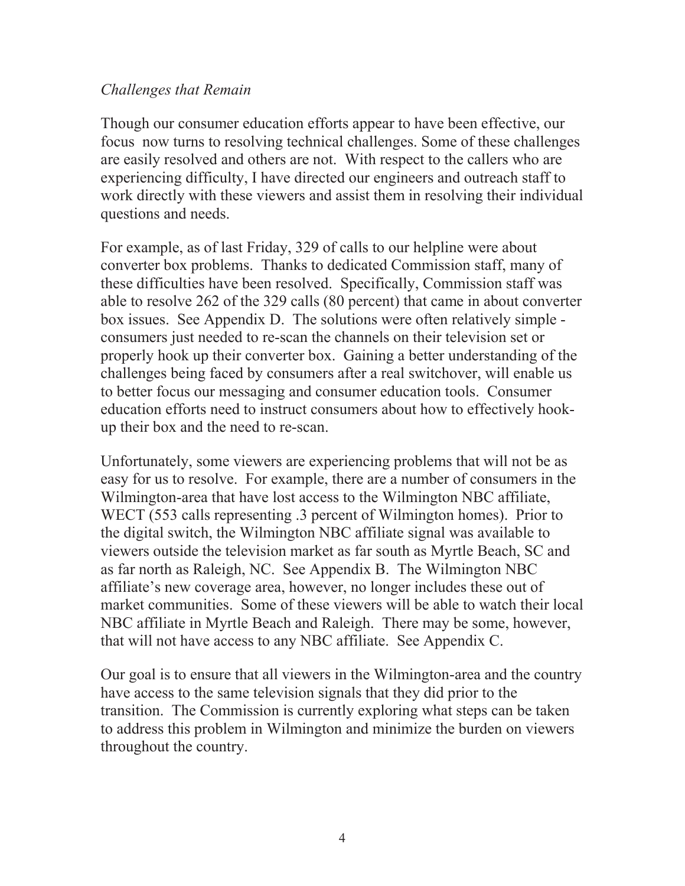## *Challenges that Remain*

Though our consumer education efforts appear to have been effective, our focus now turns to resolving technical challenges. Some of these challenges are easily resolved and others are not. With respect to the callers who are experiencing difficulty, I have directed our engineers and outreach staff to work directly with these viewers and assist them in resolving their individual questions and needs.

For example, as of last Friday, 329 of calls to our helpline were about converter box problems. Thanks to dedicated Commission staff, many of these difficulties have been resolved. Specifically, Commission staff was able to resolve 262 of the 329 calls (80 percent) that came in about converter box issues. See Appendix D. The solutions were often relatively simple consumers just needed to re-scan the channels on their television set or properly hook up their converter box. Gaining a better understanding of the challenges being faced by consumers after a real switchover, will enable us to better focus our messaging and consumer education tools. Consumer education efforts need to instruct consumers about how to effectively hookup their box and the need to re-scan.

Unfortunately, some viewers are experiencing problems that will not be as easy for us to resolve. For example, there are a number of consumers in the Wilmington-area that have lost access to the Wilmington NBC affiliate, WECT (553 calls representing .3 percent of Wilmington homes). Prior to the digital switch, the Wilmington NBC affiliate signal was available to viewers outside the television market as far south as Myrtle Beach, SC and as far north as Raleigh, NC. See Appendix B. The Wilmington NBC affiliate's new coverage area, however, no longer includes these out of market communities. Some of these viewers will be able to watch their local NBC affiliate in Myrtle Beach and Raleigh. There may be some, however, that will not have access to any NBC affiliate. See Appendix C.

Our goal is to ensure that all viewers in the Wilmington-area and the country have access to the same television signals that they did prior to the transition. The Commission is currently exploring what steps can be taken to address this problem in Wilmington and minimize the burden on viewers throughout the country.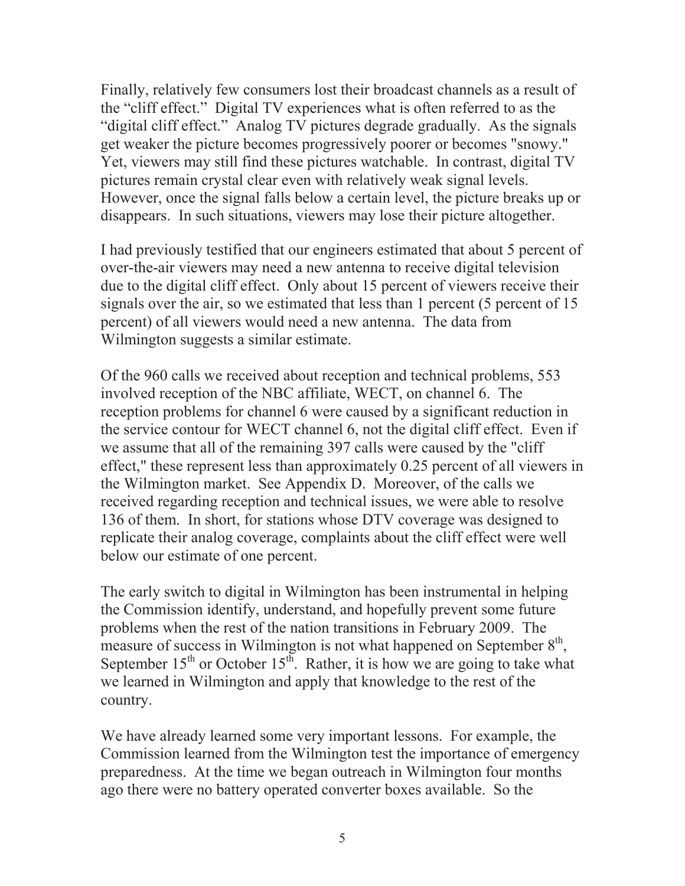Finally, relatively few consumers lost their broadcast channels as a result of the "cliff effect." Digital TV experiences what is often referred to as the "digital cliff effect." Analog TV pictures degrade gradually. As the signals get weaker the picture becomes progressively poorer or becomes "snowy." Yet, viewers may still find these pictures watchable. In contrast, digital TV pictures remain crystal clear even with relatively weak signal levels. However, once the signal falls below a certain level, the picture breaks up or disappears. In such situations, viewers may lose their picture altogether.

I had previously testified that our engineers estimated that about 5 percent of over-the-air viewers may need a new antenna to receive digital television due to the digital cliff effect. Only about 15 percent of viewers receive their signals over the air, so we estimated that less than 1 percent (5 percent of 15 percent) of all viewers would need a new antenna. The data from Wilmington suggests a similar estimate.

Of the 960 calls we received about reception and technical problems, 553 involved reception of the NBC affiliate, WECT, on channel 6. The reception problems for channel 6 were caused by a significant reduction in the service contour for WECT channel 6, not the digital cliff effect. Even if we assume that all of the remaining 397 calls were caused by the "cliff effect," these represent less than approximately 0.25 percent of all viewers in the Wilmington market. See Appendix D. Moreover, of the calls we received regarding reception and technical issues, we were able to resolve 136 of them. In short, for stations whose DTV coverage was designed to replicate their analog coverage, complaints about the cliff effect were well below our estimate of one percent.

The early switch to digital in Wilmington has been instrumental in helping the Commission identify, understand, and hopefully prevent some future problems when the rest of the nation transitions in February 2009. The measure of success in Wilmington is not what happened on September  $8<sup>th</sup>$ , September  $15<sup>th</sup>$  or October  $15<sup>th</sup>$ . Rather, it is how we are going to take what we learned in Wilmington and apply that knowledge to the rest of the country.

We have already learned some very important lessons. For example, the Commission learned from the Wilmington test the importance of emergency preparedness. At the time we began outreach in Wilmington four months ago there were no battery operated converter boxes available. So the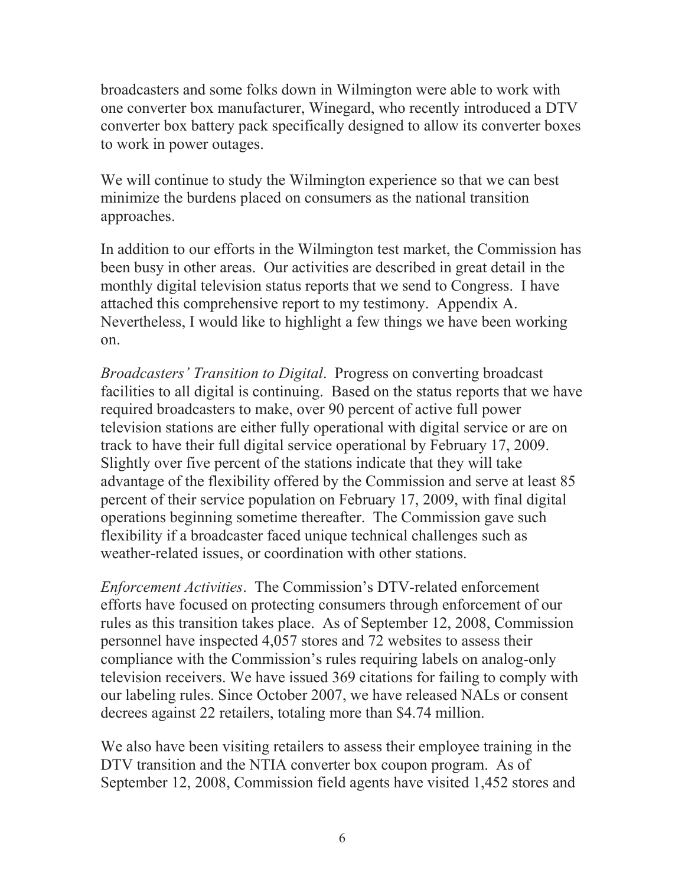broadcasters and some folks down in Wilmington were able to work with one converter box manufacturer, Winegard, who recently introduced a DTV converter box battery pack specifically designed to allow its converter boxes to work in power outages.

We will continue to study the Wilmington experience so that we can best minimize the burdens placed on consumers as the national transition approaches.

In addition to our efforts in the Wilmington test market, the Commission has been busy in other areas. Our activities are described in great detail in the monthly digital television status reports that we send to Congress. I have attached this comprehensive report to my testimony. Appendix A. Nevertheless, I would like to highlight a few things we have been working on.

*Broadcasters' Transition to Digital*. Progress on converting broadcast facilities to all digital is continuing. Based on the status reports that we have required broadcasters to make, over 90 percent of active full power television stations are either fully operational with digital service or are on track to have their full digital service operational by February 17, 2009. Slightly over five percent of the stations indicate that they will take advantage of the flexibility offered by the Commission and serve at least 85 percent of their service population on February 17, 2009, with final digital operations beginning sometime thereafter. The Commission gave such flexibility if a broadcaster faced unique technical challenges such as weather-related issues, or coordination with other stations.

*Enforcement Activities*. The Commission's DTV-related enforcement efforts have focused on protecting consumers through enforcement of our rules as this transition takes place. As of September 12, 2008, Commission personnel have inspected 4,057 stores and 72 websites to assess their compliance with the Commission's rules requiring labels on analog-only television receivers. We have issued 369 citations for failing to comply with our labeling rules. Since October 2007, we have released NALs or consent decrees against 22 retailers, totaling more than \$4.74 million.

We also have been visiting retailers to assess their employee training in the DTV transition and the NTIA converter box coupon program. As of September 12, 2008, Commission field agents have visited 1,452 stores and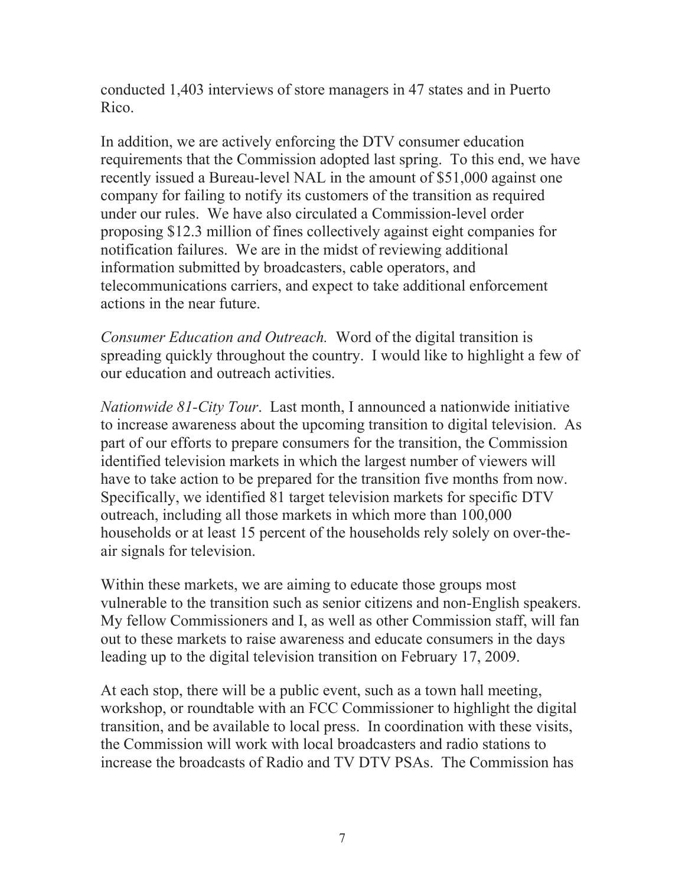conducted 1,403 interviews of store managers in 47 states and in Puerto Rico.

In addition, we are actively enforcing the DTV consumer education requirements that the Commission adopted last spring. To this end, we have recently issued a Bureau-level NAL in the amount of \$51,000 against one company for failing to notify its customers of the transition as required under our rules. We have also circulated a Commission-level order proposing \$12.3 million of fines collectively against eight companies for notification failures. We are in the midst of reviewing additional information submitted by broadcasters, cable operators, and telecommunications carriers, and expect to take additional enforcement actions in the near future.

*Consumer Education and Outreach.* Word of the digital transition is spreading quickly throughout the country. I would like to highlight a few of our education and outreach activities.

*Nationwide 81-City Tour*. Last month, I announced a nationwide initiative to increase awareness about the upcoming transition to digital television. As part of our efforts to prepare consumers for the transition, the Commission identified television markets in which the largest number of viewers will have to take action to be prepared for the transition five months from now. Specifically, we identified 81 target television markets for specific DTV outreach, including all those markets in which more than 100,000 households or at least 15 percent of the households rely solely on over-theair signals for television.

Within these markets, we are aiming to educate those groups most vulnerable to the transition such as senior citizens and non-English speakers. My fellow Commissioners and I, as well as other Commission staff, will fan out to these markets to raise awareness and educate consumers in the days leading up to the digital television transition on February 17, 2009.

At each stop, there will be a public event, such as a town hall meeting, workshop, or roundtable with an FCC Commissioner to highlight the digital transition, and be available to local press. In coordination with these visits, the Commission will work with local broadcasters and radio stations to increase the broadcasts of Radio and TV DTV PSAs. The Commission has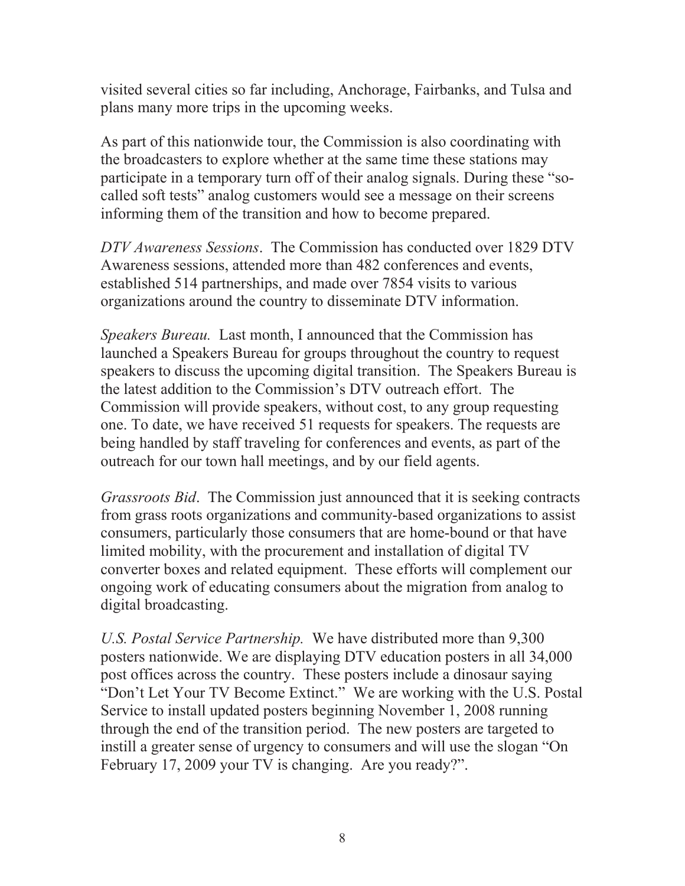visited several cities so far including, Anchorage, Fairbanks, and Tulsa and plans many more trips in the upcoming weeks.

As part of this nationwide tour, the Commission is also coordinating with the broadcasters to explore whether at the same time these stations may participate in a temporary turn off of their analog signals. During these "socalled soft tests" analog customers would see a message on their screens informing them of the transition and how to become prepared.

*DTV Awareness Sessions*. The Commission has conducted over 1829 DTV Awareness sessions, attended more than 482 conferences and events, established 514 partnerships, and made over 7854 visits to various organizations around the country to disseminate DTV information.

*Speakers Bureau.* Last month, I announced that the Commission has launched a Speakers Bureau for groups throughout the country to request speakers to discuss the upcoming digital transition. The Speakers Bureau is the latest addition to the Commission's DTV outreach effort. The Commission will provide speakers, without cost, to any group requesting one. To date, we have received 51 requests for speakers. The requests are being handled by staff traveling for conferences and events, as part of the outreach for our town hall meetings, and by our field agents.

*Grassroots Bid*. The Commission just announced that it is seeking contracts from grass roots organizations and community-based organizations to assist consumers, particularly those consumers that are home-bound or that have limited mobility, with the procurement and installation of digital TV converter boxes and related equipment. These efforts will complement our ongoing work of educating consumers about the migration from analog to digital broadcasting.

*U.S. Postal Service Partnership.* We have distributed more than 9,300 posters nationwide. We are displaying DTV education posters in all 34,000 post offices across the country. These posters include a dinosaur saying "Don't Let Your TV Become Extinct." We are working with the U.S. Postal Service to install updated posters beginning November 1, 2008 running through the end of the transition period. The new posters are targeted to instill a greater sense of urgency to consumers and will use the slogan "On February 17, 2009 your TV is changing. Are you ready?".